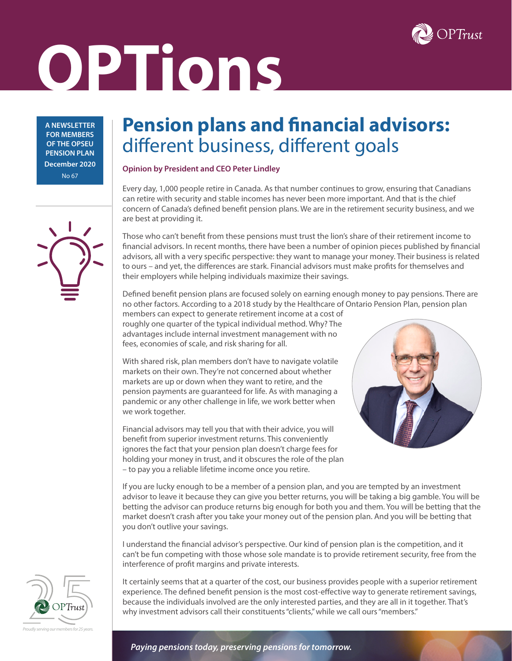

# **OPTions**

**A NEWSLETTER FOR MEMBERS OF THE OPSEU PENSION PLAN December 2020** No 67

## **Pension plans and financial advisors:**  different business, different goals

#### **Opinion by President and CEO Peter Lindley**

Every day, 1,000 people retire in Canada. As that number continues to grow, ensuring that Canadians can retire with security and stable incomes has never been more important. And that is the chief concern of Canada's defined benefit pension plans. We are in the retirement security business, and we are best at providing it.

Those who can't benefit from these pensions must trust the lion's share of their retirement income to financial advisors. In recent months, there have been a number of opinion pieces published by financial advisors, all with a very specific perspective: they want to manage your money. Their business is related to ours – and yet, the differences are stark. Financial advisors must make profits for themselves and their employers while helping individuals maximize their savings.

Defined benefit pension plans are focused solely on earning enough money to pay pensions. There are no other factors. According to a 2018 study by the Healthcare of Ontario Pension Plan, pension plan

members can expect to generate retirement income at a cost of roughly one quarter of the typical individual method. Why? The advantages include internal investment management with no fees, economies of scale, and risk sharing for all.

With shared risk, plan members don't have to navigate volatile markets on their own. They're not concerned about whether markets are up or down when they want to retire, and the pension payments are guaranteed for life. As with managing a pandemic or any other challenge in life, we work better when we work together.

Financial advisors may tell you that with their advice, you will benefit from superior investment returns. This conveniently ignores the fact that your pension plan doesn't charge fees for holding your money in trust, and it obscures the role of the plan – to pay you a reliable lifetime income once you retire.



If you are lucky enough to be a member of a pension plan, and you are tempted by an investment advisor to leave it because they can give you better returns, you will be taking a big gamble. You will be betting the advisor can produce returns big enough for both you and them. You will be betting that the market doesn't crash after you take your money out of the pension plan. And you will be betting that you don't outlive your savings.

I understand the financial advisor's perspective. Our kind of pension plan is the competition, and it can't be fun competing with those whose sole mandate is to provide retirement security, free from the interference of profit margins and private interests.

It certainly seems that at a quarter of the cost, our business provides people with a superior retirement experience. The defined benefit pension is the most cost-effective way to generate retirement savings, because the individuals involved are the only interested parties, and they are all in it together. That's why investment advisors call their constituents "clients," while we call ours "members."





*Paying pensions today, preserving pensions for tomorrow.*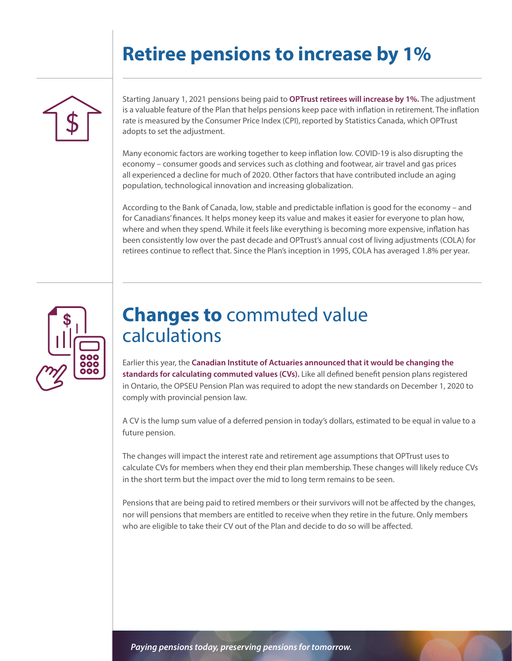# **Retiree pensions to increase by 1%**



Starting January 1, 2021 pensions being paid to **OPTrust retirees will increase by 1%.** The adjustment is a valuable feature of the Plan that helps pensions keep pace with inflation in retirement. The inflation rate is measured by the Consumer Price Index (CPI), reported by Statistics Canada, which OPTrust adopts to set the adjustment.

Many economic factors are working together to keep inflation low. COVID-19 is also disrupting the economy – consumer goods and services such as clothing and footwear, air travel and gas prices all experienced a decline for much of 2020. Other factors that have contributed include an aging population, technological innovation and increasing globalization.

According to the Bank of Canada, low, stable and predictable inflation is good for the economy – and for Canadians' finances. It helps money keep its value and makes it easier for everyone to plan how, where and when they spend. While it feels like everything is becoming more expensive, inflation has been consistently low over the past decade and OPTrust's annual cost of living adjustments (COLA) for retirees continue to reflect that. Since the Plan's inception in 1995, COLA has averaged 1.8% per year.



## **Changes to** commuted value calculations

Earlier this year, the **Canadian Institute of Actuaries announced that it would be changing the standards for calculating commuted values (CVs).** Like all defined benefit pension plans registered in Ontario, the OPSEU Pension Plan was required to adopt the new standards on December 1, 2020 to comply with provincial pension law.

A CV is the lump sum value of a deferred pension in today's dollars, estimated to be equal in value to a future pension.

The changes will impact the interest rate and retirement age assumptions that OPTrust uses to calculate CVs for members when they end their plan membership. These changes will likely reduce CVs in the short term but the impact over the mid to long term remains to be seen.

Pensions that are being paid to retired members or their survivors will not be affected by the changes, nor will pensions that members are entitled to receive when they retire in the future. Only members who are eligible to take their CV out of the Plan and decide to do so will be affected.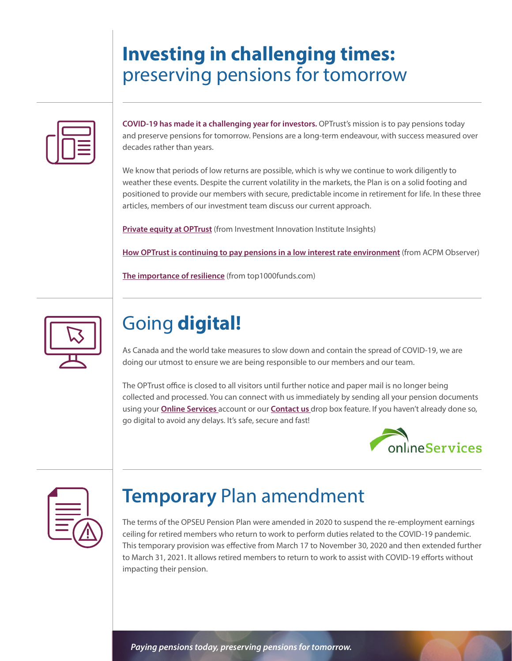# **Investing in challenging times:**  preserving pensions for tomorrow

**COVID-19 has made it a challenging year for investors.** OPTrust's mission is to pay pensions today and preserve pensions for tomorrow. Pensions are a long-term endeavour, with success measured over decades rather than years.

We know that periods of low returns are possible, which is why we continue to work diligently to weather these events. Despite the current volatility in the markets, the Plan is on a solid footing and positioned to provide our members with secure, predictable income in retirement for life. In these three articles, members of our investment team discuss our current approach.

**[Private equity at OPTrust](https://i3-invest.com/2020/12/private-equity-at-optrust/)** (from Investment Innovation Institute Insights)

**[How OPTrust is continuing to pay pensions in a low interest rate environment](https://www.acpm.com/ACPM/The-Observer/2020-Issue-3/Industry-Insider/Articles-of-Interest/How-OPTrust-is-Continuing-to-Pay-Pensions-in-a-Low.aspx)** (from ACPM Observer)

**[The importance of resilience](https://www.top1000funds.com/2020/05/the-importance-of-resilience/)** (from top1000funds.com)



# Going **digital!**

As Canada and the world take measures to slow down and contain the spread of COVID-19, we are doing our utmost to ensure we are being responsible to our members and our team.

The OPTrust office is closed to all visitors until further notice and paper mail is no longer being collected and processed. You can connect with us immediately by sending all your pension documents using your **[Online Services](https://www.optrust.com/OnlineServices/default.asp)** account or our **[Contact us](https://www.optrust.com/contactus/p_contactus.asp)** drop box feature. If you haven't already done so, go digital to avoid any delays. It's safe, secure and fast!





# **Temporary** Plan amendment

The terms of the OPSEU Pension Plan were amended in 2020 to suspend the re-employment earnings ceiling for retired members who return to work to perform duties related to the COVID-19 pandemic. This temporary provision was effective from March 17 to November 30, 2020 and then extended further to March 31, 2021. It allows retired members to return to work to assist with COVID-19 efforts without impacting their pension.

*Paying pensions today, preserving pensions for tomorrow.*